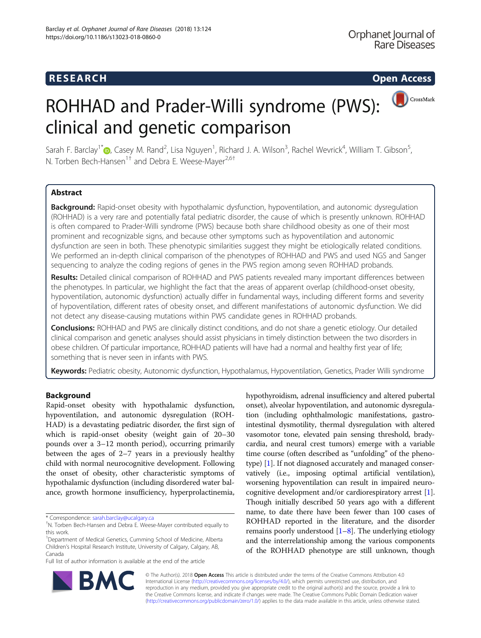CrossMark

# ROHHAD and Prader-Willi syndrome (PWS): clinical and genetic comparison

Sarah F. Barclay<sup>1\*</sup>©[,](http://orcid.org/0000-0003-3505-4036) Casey M. Rand<sup>2</sup>, Lisa Nguyen<sup>1</sup>, Richard J. A. Wilson<sup>3</sup>, Rachel Wevrick<sup>4</sup>, William T. Gibson<sup>5</sup> , N. Torben Bech-Hansen<sup>1†</sup> and Debra E. Weese-Mayer<sup>2,6†</sup>

# Abstract

Background: Rapid-onset obesity with hypothalamic dysfunction, hypoventilation, and autonomic dysregulation (ROHHAD) is a very rare and potentially fatal pediatric disorder, the cause of which is presently unknown. ROHHAD is often compared to Prader-Willi syndrome (PWS) because both share childhood obesity as one of their most prominent and recognizable signs, and because other symptoms such as hypoventilation and autonomic dysfunction are seen in both. These phenotypic similarities suggest they might be etiologically related conditions. We performed an in-depth clinical comparison of the phenotypes of ROHHAD and PWS and used NGS and Sanger sequencing to analyze the coding regions of genes in the PWS region among seven ROHHAD probands.

Results: Detailed clinical comparison of ROHHAD and PWS patients revealed many important differences between the phenotypes. In particular, we highlight the fact that the areas of apparent overlap (childhood-onset obesity, hypoventilation, autonomic dysfunction) actually differ in fundamental ways, including different forms and severity of hypoventilation, different rates of obesity onset, and different manifestations of autonomic dysfunction. We did not detect any disease-causing mutations within PWS candidate genes in ROHHAD probands.

Conclusions: ROHHAD and PWS are clinically distinct conditions, and do not share a genetic etiology. Our detailed clinical comparison and genetic analyses should assist physicians in timely distinction between the two disorders in obese children. Of particular importance, ROHHAD patients will have had a normal and healthy first year of life; something that is never seen in infants with PWS.

Keywords: Pediatric obesity, Autonomic dysfunction, Hypothalamus, Hypoventilation, Genetics, Prader Willi syndrome

# Background

Rapid-onset obesity with hypothalamic dysfunction, hypoventilation, and autonomic dysregulation (ROH-HAD) is a devastating pediatric disorder, the first sign of which is rapid-onset obesity (weight gain of 20–30 pounds over a 3–12 month period), occurring primarily between the ages of 2–7 years in a previously healthy child with normal neurocognitive development. Following the onset of obesity, other characteristic symptoms of hypothalamic dysfunction (including disordered water balance, growth hormone insufficiency, hyperprolactinemia,

\* Correspondence: [sarah.barclay@ucalgary.ca](mailto:sarah.barclay@ucalgary.ca) †

Full list of author information is available at the end of the article

hypothyroidism, adrenal insufficiency and altered pubertal onset), alveolar hypoventilation, and autonomic dysregulation (including ophthalmologic manifestations, gastrointestinal dysmotility, thermal dysregulation with altered vasomotor tone, elevated pain sensing threshold, bradycardia, and neural crest tumors) emerge with a variable time course (often described as "unfolding" of the phenotype) [\[1](#page-7-0)]. If not diagnosed accurately and managed conservatively (i.e., imposing optimal artificial ventilation), worsening hypoventilation can result in impaired neurocognitive development and/or cardiorespiratory arrest [[1](#page-7-0)]. Though initially described 50 years ago with a different name, to date there have been fewer than 100 cases of ROHHAD reported in the literature, and the disorder remains poorly understood  $[1-8]$  $[1-8]$  $[1-8]$ . The underlying etiology and the interrelationship among the various components of the ROHHAD phenotype are still unknown, though



© The Author(s). 2018 Open Access This article is distributed under the terms of the Creative Commons Attribution 4.0 International License [\(http://creativecommons.org/licenses/by/4.0/](http://creativecommons.org/licenses/by/4.0/)), which permits unrestricted use, distribution, and reproduction in any medium, provided you give appropriate credit to the original author(s) and the source, provide a link to the Creative Commons license, and indicate if changes were made. The Creative Commons Public Domain Dedication waiver [\(http://creativecommons.org/publicdomain/zero/1.0/](http://creativecommons.org/publicdomain/zero/1.0/)) applies to the data made available in this article, unless otherwise stated.

<sup>&</sup>lt;sup>t</sup>N. Torben Bech-Hansen and Debra E. Weese-Mayer contributed equally to this work.

<sup>&</sup>lt;sup>1</sup>Department of Medical Genetics, Cumming School of Medicine, Alberta Children's Hospital Research Institute, University of Calgary, Calgary, AB, Canada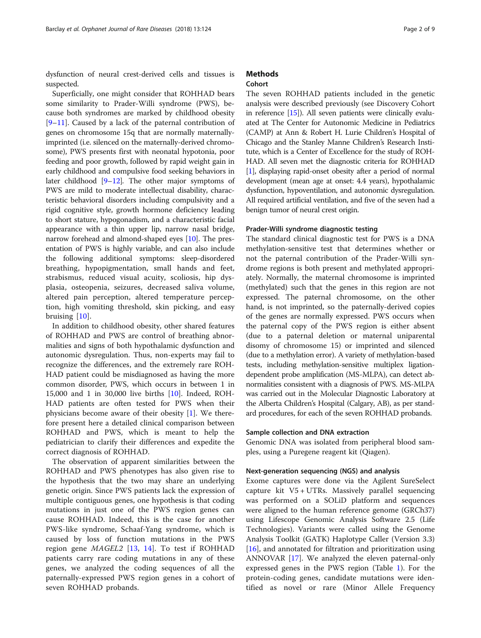dysfunction of neural crest-derived cells and tissues is suspected.

Superficially, one might consider that ROHHAD bears some similarity to Prader-Willi syndrome (PWS), because both syndromes are marked by childhood obesity [[9](#page-7-0)–[11\]](#page-7-0). Caused by a lack of the paternal contribution of genes on chromosome 15q that are normally maternallyimprinted (i.e. silenced on the maternally-derived chromosome), PWS presents first with neonatal hypotonia, poor feeding and poor growth, followed by rapid weight gain in early childhood and compulsive food seeking behaviors in later childhood [\[9](#page-7-0)–[12\]](#page-7-0). The other major symptoms of PWS are mild to moderate intellectual disability, characteristic behavioral disorders including compulsivity and a rigid cognitive style, growth hormone deficiency leading to short stature, hypogonadism, and a characteristic facial appearance with a thin upper lip, narrow nasal bridge, narrow forehead and almond-shaped eyes [[10](#page-7-0)]. The presentation of PWS is highly variable, and can also include the following additional symptoms: sleep-disordered breathing, hypopigmentation, small hands and feet, strabismus, reduced visual acuity, scoliosis, hip dysplasia, osteopenia, seizures, decreased saliva volume, altered pain perception, altered temperature perception, high vomiting threshold, skin picking, and easy bruising [[10\]](#page-7-0).

In addition to childhood obesity, other shared features of ROHHAD and PWS are control of breathing abnormalities and signs of both hypothalamic dysfunction and autonomic dysregulation. Thus, non-experts may fail to recognize the differences, and the extremely rare ROH-HAD patient could be misdiagnosed as having the more common disorder, PWS, which occurs in between 1 in 15,000 and 1 in 30,000 live births [\[10](#page-7-0)]. Indeed, ROH-HAD patients are often tested for PWS when their physicians become aware of their obesity [\[1](#page-7-0)]. We therefore present here a detailed clinical comparison between ROHHAD and PWS, which is meant to help the pediatrician to clarify their differences and expedite the correct diagnosis of ROHHAD.

The observation of apparent similarities between the ROHHAD and PWS phenotypes has also given rise to the hypothesis that the two may share an underlying genetic origin. Since PWS patients lack the expression of multiple contiguous genes, one hypothesis is that coding mutations in just one of the PWS region genes can cause ROHHAD. Indeed, this is the case for another PWS-like syndrome, Schaaf-Yang syndrome, which is caused by loss of function mutations in the PWS region gene MAGEL2 [[13,](#page-7-0) [14](#page-7-0)]. To test if ROHHAD patients carry rare coding mutations in any of these genes, we analyzed the coding sequences of all the paternally-expressed PWS region genes in a cohort of seven ROHHAD probands.

## **Methods** Cohort

The seven ROHHAD patients included in the genetic

analysis were described previously (see Discovery Cohort in reference [[15](#page-7-0)]). All seven patients were clinically evaluated at The Center for Autonomic Medicine in Pediatrics (CAMP) at Ann & Robert H. Lurie Children's Hospital of Chicago and the Stanley Manne Children's Research Institute, which is a Center of Excellence for the study of ROH-HAD. All seven met the diagnostic criteria for ROHHAD [[1](#page-7-0)], displaying rapid-onset obesity after a period of normal development (mean age at onset: 4.4 years), hypothalamic dysfunction, hypoventilation, and autonomic dysregulation. All required artificial ventilation, and five of the seven had a benign tumor of neural crest origin.

## Prader-Willi syndrome diagnostic testing

The standard clinical diagnostic test for PWS is a DNA methylation-sensitive test that determines whether or not the paternal contribution of the Prader-Willi syndrome regions is both present and methylated appropriately. Normally, the maternal chromosome is imprinted (methylated) such that the genes in this region are not expressed. The paternal chromosome, on the other hand, is not imprinted, so the paternally-derived copies of the genes are normally expressed. PWS occurs when the paternal copy of the PWS region is either absent (due to a paternal deletion or maternal uniparental disomy of chromosome 15) or imprinted and silenced (due to a methylation error). A variety of methylation-based tests, including methylation-sensitive multiplex ligationdependent probe amplification (MS-MLPA), can detect abnormalities consistent with a diagnosis of PWS. MS-MLPA was carried out in the Molecular Diagnostic Laboratory at the Alberta Children's Hospital (Calgary, AB), as per standard procedures, for each of the seven ROHHAD probands.

#### Sample collection and DNA extraction

Genomic DNA was isolated from peripheral blood samples, using a Puregene reagent kit (Qiagen).

## Next-generation sequencing (NGS) and analysis

Exome captures were done via the Agilent SureSelect capture kit V5 + UTRs. Massively parallel sequencing was performed on a SOLiD platform and sequences were aligned to the human reference genome (GRCh37) using Lifescope Genomic Analysis Software 2.5 (Life Technologies). Variants were called using the Genome Analysis Toolkit (GATK) Haplotype Caller (Version 3.3) [[16\]](#page-8-0), and annotated for filtration and prioritization using ANNOVAR [[17](#page-8-0)]. We analyzed the eleven paternal-only expressed genes in the PWS region (Table [1](#page-2-0)). For the protein-coding genes, candidate mutations were identified as novel or rare (Minor Allele Frequency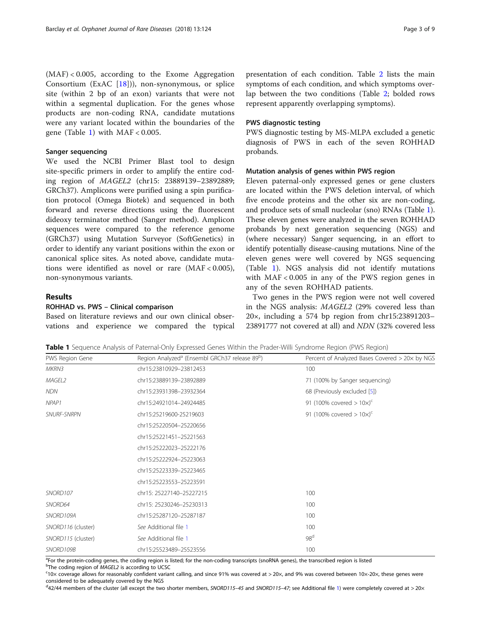<span id="page-2-0"></span>(MAF) < 0.005, according to the Exome Aggregation Consortium (ExAC  $[18]$  $[18]$ )), non-synonymous, or splice site (within 2 bp of an exon) variants that were not within a segmental duplication. For the genes whose products are non-coding RNA, candidate mutations were any variant located within the boundaries of the gene (Table 1) with  $MAF < 0.005$ .

### Sanger sequencing

We used the NCBI Primer Blast tool to design site-specific primers in order to amplify the entire coding region of MAGEL2 (chr15: 23889139–23892889; GRCh37). Amplicons were purified using a spin purification protocol (Omega Biotek) and sequenced in both forward and reverse directions using the fluorescent dideoxy terminator method (Sanger method). Amplicon sequences were compared to the reference genome (GRCh37) using Mutation Surveyor (SoftGenetics) in order to identify any variant positions within the exon or canonical splice sites. As noted above, candidate mutations were identified as novel or rare (MAF < 0.005), non-synonymous variants.

## Results

#### ROHHAD vs. PWS – Clinical comparison

Based on literature reviews and our own clinical observations and experience we compared the typical

presentation of each condition. Table [2](#page-3-0) lists the main symptoms of each condition, and which symptoms overlap between the two conditions (Table [2;](#page-3-0) bolded rows represent apparently overlapping symptoms).

#### PWS diagnostic testing

PWS diagnostic testing by MS-MLPA excluded a genetic diagnosis of PWS in each of the seven ROHHAD probands.

# Mutation analysis of genes within PWS region

Eleven paternal-only expressed genes or gene clusters are located within the PWS deletion interval, of which five encode proteins and the other six are non-coding, and produce sets of small nucleolar (sno) RNAs (Table 1). These eleven genes were analyzed in the seven ROHHAD probands by next generation sequencing (NGS) and (where necessary) Sanger sequencing, in an effort to identify potentially disease-causing mutations. Nine of the eleven genes were well covered by NGS sequencing (Table 1). NGS analysis did not identify mutations with MAF < 0.005 in any of the PWS region genes in any of the seven ROHHAD patients.

Two genes in the PWS region were not well covered in the NGS analysis: MAGEL2 (29% covered less than 20×, including a 574 bp region from chr15:23891203– 23891777 not covered at all) and NDN (32% covered less

Table 1 Sequence Analysis of Paternal-Only Expressed Genes Within the Prader-Willi Syndrome Region (PWS Region)

| PWS Region Gene    | Region Analyzed <sup>a</sup> (Ensembl GRCh37 release 89 <sup>b</sup> ) | Percent of Analyzed Bases Covered > 20x by NGS |
|--------------------|------------------------------------------------------------------------|------------------------------------------------|
| MKRN3              | chr15:23810929-23812453                                                | 100                                            |
| MAGEL2             | chr15:23889139-23892889                                                | 71 (100% by Sanger sequencing)                 |
| <b>NDN</b>         | chr15:23931398-23932364                                                | 68 (Previously excluded [5])                   |
| NPAP1              | chr15:24921014-24924485                                                | 91 (100% covered $> 10x$ ) <sup>c</sup>        |
| <b>SNURF-SNRPN</b> | chr15:25219600-25219603                                                | 91 (100% covered $> 10 \times$ ) <sup>c</sup>  |
|                    | chr15:25220504-25220656                                                |                                                |
|                    | chr15:25221451-25221563                                                |                                                |
|                    | chr15:25222023-25222176                                                |                                                |
|                    | chr15:25222924-25223063                                                |                                                |
|                    | chr15:25223339-25223465                                                |                                                |
|                    | chr15:25223553-25223591                                                |                                                |
| SNORD107           | chr15: 25227140-25227215                                               | 100                                            |
| SNORD64            | chr15: 25230246-25230313                                               | 100                                            |
| SNORD109A          | chr15:25287120-25287187                                                | 100                                            |
| SNORD116 (cluster) | See Additional file 1<br>100                                           |                                                |
| SNORD115 (cluster) | 98 <sup>d</sup><br>See Additional file 1                               |                                                |
| SNORD109B          | 100<br>chr15:25523489-25523556                                         |                                                |

a<br>Tor the protein-coding genes, the coding region is listed; for the non-coding transcripts (snoRNA genes), the transcribed region is listed

bThe coding region of MAGEL2 is according to UCSC

 $c_{10}$  coverage allows for reasonably confident variant calling, and since 91% was covered at > 20 $\times$ , and 9% was covered between 10x-20 $\times$ , these genes were considered to be adequately covered by the NGS

<sup>d</sup>42/44 members of the cluster (all except the two shorter members, SNORD[1](#page-7-0)15–45 and SNORD115–47; see Additional file 1) were completely covered at > 20×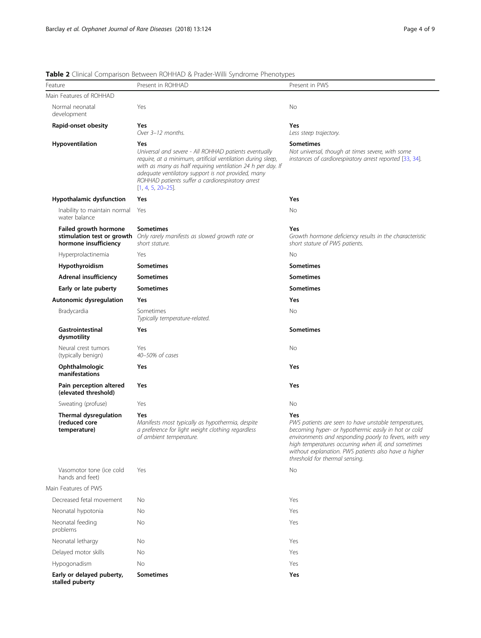| Page 4 of 9 |  |  |
|-------------|--|--|
|             |  |  |

| Feature                                                | Present in ROHHAD                                                                                                                                                                                                                                                                                                             | Present in PWS                                                                                                                                                                                                                                                                                                                  |
|--------------------------------------------------------|-------------------------------------------------------------------------------------------------------------------------------------------------------------------------------------------------------------------------------------------------------------------------------------------------------------------------------|---------------------------------------------------------------------------------------------------------------------------------------------------------------------------------------------------------------------------------------------------------------------------------------------------------------------------------|
| Main Features of ROHHAD                                |                                                                                                                                                                                                                                                                                                                               |                                                                                                                                                                                                                                                                                                                                 |
| Normal neonatal<br>development                         | Yes                                                                                                                                                                                                                                                                                                                           | <b>No</b>                                                                                                                                                                                                                                                                                                                       |
| Rapid-onset obesity                                    | Yes<br>Over 3-12 months.                                                                                                                                                                                                                                                                                                      | Yes<br>Less steep trajectory.                                                                                                                                                                                                                                                                                                   |
| Hypoventilation                                        | Yes<br>Universal and severe - All ROHHAD patients eventually<br>require, at a minimum, artificial ventilation during sleep,<br>with as many as half requiring ventilation 24 h per day. If<br>adequate ventilatory support is not provided, many<br>ROHHAD patients suffer a cardiorespiratory arrest<br>$[1, 4, 5, 20-25]$ . | <b>Sometimes</b><br>Not universal, though at times severe, with some<br>instances of cardiorespiratory arrest reported [33, 34].                                                                                                                                                                                                |
| Hypothalamic dysfunction                               | Yes                                                                                                                                                                                                                                                                                                                           | Yes                                                                                                                                                                                                                                                                                                                             |
| Inability to maintain normal<br>water balance          | Yes                                                                                                                                                                                                                                                                                                                           | No                                                                                                                                                                                                                                                                                                                              |
| Failed growth hormone<br>hormone insufficiency         | <b>Sometimes</b><br>stimulation test or growth Only rarely manifests as slowed growth rate or<br>short stature.                                                                                                                                                                                                               | Yes<br>Growth hormone deficiency results in the characteristic<br>short stature of PWS patients.                                                                                                                                                                                                                                |
| Hyperprolactinemia                                     | Yes                                                                                                                                                                                                                                                                                                                           | <b>No</b>                                                                                                                                                                                                                                                                                                                       |
| Hypothyroidism                                         | <b>Sometimes</b>                                                                                                                                                                                                                                                                                                              | <b>Sometimes</b>                                                                                                                                                                                                                                                                                                                |
| <b>Adrenal insufficiency</b>                           | <b>Sometimes</b>                                                                                                                                                                                                                                                                                                              | <b>Sometimes</b>                                                                                                                                                                                                                                                                                                                |
| Early or late puberty                                  | <b>Sometimes</b>                                                                                                                                                                                                                                                                                                              | <b>Sometimes</b>                                                                                                                                                                                                                                                                                                                |
| Autonomic dysregulation                                | Yes                                                                                                                                                                                                                                                                                                                           | Yes                                                                                                                                                                                                                                                                                                                             |
| Bradycardia                                            | Sometimes<br>Typically temperature-related.                                                                                                                                                                                                                                                                                   | <b>No</b>                                                                                                                                                                                                                                                                                                                       |
| Gastrointestinal<br>dysmotility                        | Yes                                                                                                                                                                                                                                                                                                                           | <b>Sometimes</b>                                                                                                                                                                                                                                                                                                                |
| Neural crest tumors<br>(typically benign)              | Yes<br>40-50% of cases                                                                                                                                                                                                                                                                                                        | No                                                                                                                                                                                                                                                                                                                              |
| Ophthalmologic<br>manifestations                       | Yes                                                                                                                                                                                                                                                                                                                           | Yes                                                                                                                                                                                                                                                                                                                             |
| Pain perception altered<br>(elevated threshold)        | Yes                                                                                                                                                                                                                                                                                                                           | Yes                                                                                                                                                                                                                                                                                                                             |
| Sweating (profuse)                                     | Yes                                                                                                                                                                                                                                                                                                                           | No                                                                                                                                                                                                                                                                                                                              |
| Thermal dysregulation<br>(reduced core<br>temperature) | Yes<br>Manifests most typically as hypothermia, despite<br>a preference for light weight clothing regardless<br>of ambient temperature.                                                                                                                                                                                       | Yes<br>PWS patients are seen to have unstable temperatures,<br>becoming hyper- or hypothermic easily in hot or cold<br>environments and responding poorly to fevers, with very<br>high temperatures occurring when ill, and sometimes<br>without explanation. PWS patients also have a higher<br>threshold for thermal sensing. |
| Vasomotor tone (ice cold<br>hands and feet)            | Yes                                                                                                                                                                                                                                                                                                                           | No                                                                                                                                                                                                                                                                                                                              |
| Main Features of PWS                                   |                                                                                                                                                                                                                                                                                                                               |                                                                                                                                                                                                                                                                                                                                 |
| Decreased fetal movement                               | No                                                                                                                                                                                                                                                                                                                            | Yes                                                                                                                                                                                                                                                                                                                             |
| Neonatal hypotonia                                     | No                                                                                                                                                                                                                                                                                                                            | Yes                                                                                                                                                                                                                                                                                                                             |
| Neonatal feeding<br>problems                           | No                                                                                                                                                                                                                                                                                                                            | Yes                                                                                                                                                                                                                                                                                                                             |
| Neonatal lethargy                                      | No                                                                                                                                                                                                                                                                                                                            | Yes                                                                                                                                                                                                                                                                                                                             |
| Delayed motor skills                                   | No                                                                                                                                                                                                                                                                                                                            | Yes                                                                                                                                                                                                                                                                                                                             |
| Hypogonadism                                           | No                                                                                                                                                                                                                                                                                                                            | Yes                                                                                                                                                                                                                                                                                                                             |
| Early or delayed puberty,<br>stalled puberty           | <b>Sometimes</b>                                                                                                                                                                                                                                                                                                              | Yes                                                                                                                                                                                                                                                                                                                             |

# <span id="page-3-0"></span>Table 2 Clinical Comparison Between ROHHAD & Prader-Willi Syndrome Phenotypes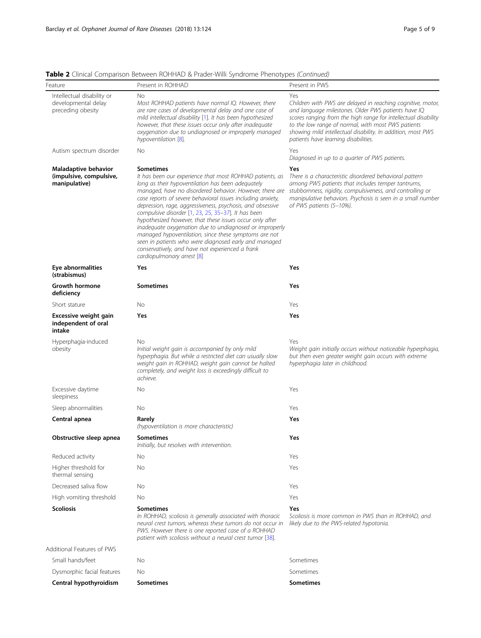| Page 5 of 9 |  |  |
|-------------|--|--|
|             |  |  |

| Feature                                                                | Present in ROHHAD                                                                                                                                                                                                                                                                                                                                                                                                                                                                                                                                                                                                                                                                                            | Present in PWS                                                                                                                                                                                                                                                                                                                                           |
|------------------------------------------------------------------------|--------------------------------------------------------------------------------------------------------------------------------------------------------------------------------------------------------------------------------------------------------------------------------------------------------------------------------------------------------------------------------------------------------------------------------------------------------------------------------------------------------------------------------------------------------------------------------------------------------------------------------------------------------------------------------------------------------------|----------------------------------------------------------------------------------------------------------------------------------------------------------------------------------------------------------------------------------------------------------------------------------------------------------------------------------------------------------|
| Intellectual disability or<br>developmental delay<br>preceding obesity | No<br>Most ROHHAD patients have normal IQ. However, there<br>are rare cases of developmental delay and one case of<br>mild intellectual disability [1]. It has been hypothesized<br>however, that these issues occur only after inadequate<br>oxygenation due to undiagnosed or improperly managed<br>hypoventilation [8].                                                                                                                                                                                                                                                                                                                                                                                   | Yes<br>Children with PWS are delayed in reaching cognitive, motor,<br>and language milestones. Older PWS patients have IQ<br>scores ranging from the high range for intellectual disability<br>to the low range of normal, with most PWS patients<br>showing mild intellectual disability. In addition, most PWS<br>patients have learning disabilities. |
| Autism spectrum disorder                                               | No                                                                                                                                                                                                                                                                                                                                                                                                                                                                                                                                                                                                                                                                                                           | Yes<br>Diagnosed in up to a quarter of PWS patients.                                                                                                                                                                                                                                                                                                     |
| Maladaptive behavior<br>(impulsive, compulsive,<br>manipulative)       | <b>Sometimes</b><br>It has been our experience that most ROHHAD patients, as<br>long as their hypoventilation has been adequately<br>managed, have no disordered behavior. However, there are<br>case reports of severe behavioral issues including anxiety,<br>depression, rage, aggressiveness, psychosis, and obsessive<br>compulsive disorder [1, 23, 25, 35-37]. It has been<br>hypothesized however, that these issues occur only after<br>inadequate oxygenation due to undiagnosed or improperly<br>managed hypoventilation, since these symptoms are not<br>seen in patients who were diagnosed early and managed<br>conservatively, and have not experienced a frank<br>cardiopulmonary arrest [8] | Yes<br>There is a characteristic disordered behavioral pattern<br>among PWS patients that includes temper tantrums,<br>stubbornness, rigidity, compulsiveness, and controlling or<br>manipulative behaviors. Psychosis is seen in a small number<br>of PWS patients (5-10%).                                                                             |
| Eye abnormalities<br>(strabismus)                                      | Yes                                                                                                                                                                                                                                                                                                                                                                                                                                                                                                                                                                                                                                                                                                          | Yes                                                                                                                                                                                                                                                                                                                                                      |
| Growth hormone<br>deficiency                                           | <b>Sometimes</b>                                                                                                                                                                                                                                                                                                                                                                                                                                                                                                                                                                                                                                                                                             | Yes                                                                                                                                                                                                                                                                                                                                                      |
| Short stature                                                          | No                                                                                                                                                                                                                                                                                                                                                                                                                                                                                                                                                                                                                                                                                                           | Yes                                                                                                                                                                                                                                                                                                                                                      |
| Excessive weight gain<br>independent of oral<br>intake                 | Yes                                                                                                                                                                                                                                                                                                                                                                                                                                                                                                                                                                                                                                                                                                          | Yes                                                                                                                                                                                                                                                                                                                                                      |
| Hyperphagia-induced<br>obesity                                         | No<br>Initial weight gain is accompanied by only mild<br>hyperphagia. But while a restricted diet can usually slow<br>weight gain in ROHHAD, weight gain cannot be halted<br>completely, and weight loss is exceedingly difficult to<br>achieve.                                                                                                                                                                                                                                                                                                                                                                                                                                                             | Yes<br>Weight gain initially occurs without noticeable hyperphagia,<br>but then even greater weight gain occurs with extreme<br>hyperphagia later in childhood.                                                                                                                                                                                          |
| Excessive daytime<br>sleepiness                                        | No                                                                                                                                                                                                                                                                                                                                                                                                                                                                                                                                                                                                                                                                                                           | Yes                                                                                                                                                                                                                                                                                                                                                      |
| Sleep abnormalities                                                    | No                                                                                                                                                                                                                                                                                                                                                                                                                                                                                                                                                                                                                                                                                                           | Yes                                                                                                                                                                                                                                                                                                                                                      |
| Central apnea                                                          | Rarely<br>(hypoventilation is more characteristic)                                                                                                                                                                                                                                                                                                                                                                                                                                                                                                                                                                                                                                                           | Yes                                                                                                                                                                                                                                                                                                                                                      |
| Obstructive sleep apnea                                                | <b>Sometimes</b><br>Initially, but resolves with intervention.                                                                                                                                                                                                                                                                                                                                                                                                                                                                                                                                                                                                                                               | Yes                                                                                                                                                                                                                                                                                                                                                      |
| Reduced activity                                                       | No                                                                                                                                                                                                                                                                                                                                                                                                                                                                                                                                                                                                                                                                                                           | Yes                                                                                                                                                                                                                                                                                                                                                      |
| Higher threshold for<br>thermal sensing                                | No                                                                                                                                                                                                                                                                                                                                                                                                                                                                                                                                                                                                                                                                                                           | Yes                                                                                                                                                                                                                                                                                                                                                      |
| Decreased saliva flow                                                  | No                                                                                                                                                                                                                                                                                                                                                                                                                                                                                                                                                                                                                                                                                                           | Yes                                                                                                                                                                                                                                                                                                                                                      |
| High vomiting threshold                                                | No                                                                                                                                                                                                                                                                                                                                                                                                                                                                                                                                                                                                                                                                                                           | Yes                                                                                                                                                                                                                                                                                                                                                      |
| <b>Scoliosis</b>                                                       | <b>Sometimes</b><br>In ROHHAD, scoliosis is generally associated with thoracic<br>neural crest tumors, whereas these tumors do not occur in<br>PWS. However there is one reported case of a ROHHAD<br>patient with scoliosis without a neural crest tumor [38].                                                                                                                                                                                                                                                                                                                                                                                                                                              | Yes<br>Scoliosis is more common in PWS than in ROHHAD, and<br>likely due to the PWS-related hypotonia.                                                                                                                                                                                                                                                   |
| Additional Features of PWS                                             |                                                                                                                                                                                                                                                                                                                                                                                                                                                                                                                                                                                                                                                                                                              |                                                                                                                                                                                                                                                                                                                                                          |
| Small hands/feet                                                       | No                                                                                                                                                                                                                                                                                                                                                                                                                                                                                                                                                                                                                                                                                                           | Sometimes                                                                                                                                                                                                                                                                                                                                                |
| Dysmorphic facial features                                             | No                                                                                                                                                                                                                                                                                                                                                                                                                                                                                                                                                                                                                                                                                                           | Sometimes                                                                                                                                                                                                                                                                                                                                                |
| Central hypothyroidism                                                 | Sometimes                                                                                                                                                                                                                                                                                                                                                                                                                                                                                                                                                                                                                                                                                                    | Sometimes                                                                                                                                                                                                                                                                                                                                                |

Table 2 Clinical Comparison Between ROHHAD & Prader-Willi Syndrome Phenotypes (Continued)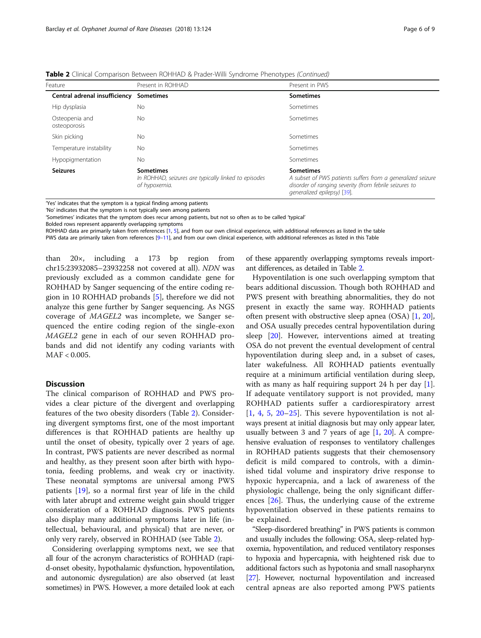| <b>Table 2</b> Clinical Comparison Between ROHHAD & Prader-Willi Syndrome Phenotypes (Continued) |  |  |  |  |
|--------------------------------------------------------------------------------------------------|--|--|--|--|
|--------------------------------------------------------------------------------------------------|--|--|--|--|

| Feature                        | Present in ROHHAD                                                                         | Present in PWS                                                                                                                                                           |
|--------------------------------|-------------------------------------------------------------------------------------------|--------------------------------------------------------------------------------------------------------------------------------------------------------------------------|
| Central adrenal insufficiency  | <b>Sometimes</b>                                                                          | <b>Sometimes</b>                                                                                                                                                         |
| Hip dysplasia                  | No                                                                                        | Sometimes                                                                                                                                                                |
| Osteopenia and<br>osteoporosis | No.                                                                                       | Sometimes                                                                                                                                                                |
| Skin picking                   | No                                                                                        | Sometimes                                                                                                                                                                |
| Temperature instability        | No                                                                                        | Sometimes                                                                                                                                                                |
| Hypopigmentation               | No                                                                                        | Sometimes                                                                                                                                                                |
| <b>Seizures</b>                | <b>Sometimes</b><br>In ROHHAD, seizures are typically linked to episodes<br>of hypoxemia. | <b>Sometimes</b><br>A subset of PWS patients suffers from a generalized seizure<br>disorder of ranging severity (from febrile seizures to<br>generalized epilepsy) [39]. |

'Yes' indicates that the symptom is a typical finding among patients

'No' indicates that the symptom is not typically seen among patients

'Sometimes' indicates that the symptom does recur among patients, but not so often as to be called 'typical'

Bolded rows represent apparently overlapping symptoms

ROHHAD data are primarily taken from references [\[1,](#page-7-0) [5\]](#page-7-0), and from our own clinical experience, with additional references as listed in the table PWS data are primarily taken from references [[9](#page-7-0)-[11](#page-7-0)], and from our own clinical experience, with additional references as listed in this Table

than 20×, including a 173 bp region from chr15:23932085–23932258 not covered at all). NDN was previously excluded as a common candidate gene for ROHHAD by Sanger sequencing of the entire coding region in 10 ROHHAD probands [[5](#page-7-0)], therefore we did not analyze this gene further by Sanger sequencing. As NGS coverage of MAGEL2 was incomplete, we Sanger sequenced the entire coding region of the single-exon MAGEL2 gene in each of our seven ROHHAD probands and did not identify any coding variants with MAF < 0.005.

# Discussion

The clinical comparison of ROHHAD and PWS provides a clear picture of the divergent and overlapping features of the two obesity disorders (Table [2](#page-3-0)). Considering divergent symptoms first, one of the most important differences is that ROHHAD patients are healthy up until the onset of obesity, typically over 2 years of age. In contrast, PWS patients are never described as normal and healthy, as they present soon after birth with hypotonia, feeding problems, and weak cry or inactivity. These neonatal symptoms are universal among PWS patients [\[19](#page-8-0)], so a normal first year of life in the child with later abrupt and extreme weight gain should trigger consideration of a ROHHAD diagnosis. PWS patients also display many additional symptoms later in life (intellectual, behavioural, and physical) that are never, or only very rarely, observed in ROHHAD (see Table [2\)](#page-3-0).

Considering overlapping symptoms next, we see that all four of the acronym characteristics of ROHHAD (rapid-onset obesity, hypothalamic dysfunction, hypoventilation, and autonomic dysregulation) are also observed (at least sometimes) in PWS. However, a more detailed look at each of these apparently overlapping symptoms reveals important differences, as detailed in Table [2.](#page-3-0)

Hypoventilation is one such overlapping symptom that bears additional discussion. Though both ROHHAD and PWS present with breathing abnormalities, they do not present in exactly the same way. ROHHAD patients often present with obstructive sleep apnea (OSA) [\[1](#page-7-0), [20](#page-8-0)], and OSA usually precedes central hypoventilation during sleep [[20\]](#page-8-0). However, interventions aimed at treating OSA do not prevent the eventual development of central hypoventilation during sleep and, in a subset of cases, later wakefulness. All ROHHAD patients eventually require at a minimum artificial ventilation during sleep, with as many as half requiring support 24 h per day  $[1]$  $[1]$ . If adequate ventilatory support is not provided, many ROHHAD patients suffer a cardiorespiratory arrest [[1](#page-7-0), [4](#page-7-0), [5,](#page-7-0) [20](#page-8-0)–[25](#page-8-0)]. This severe hypoventilation is not always present at initial diagnosis but may only appear later, usually between 3 and 7 years of age  $[1, 20]$  $[1, 20]$  $[1, 20]$  $[1, 20]$  $[1, 20]$ . A comprehensive evaluation of responses to ventilatory challenges in ROHHAD patients suggests that their chemosensory deficit is mild compared to controls, with a diminished tidal volume and inspiratory drive response to hypoxic hypercapnia, and a lack of awareness of the physiologic challenge, being the only significant differences [[26\]](#page-8-0). Thus, the underlying cause of the extreme hypoventilation observed in these patients remains to be explained.

"Sleep-disordered breathing" in PWS patients is common and usually includes the following: OSA, sleep-related hypoxemia, hypoventilation, and reduced ventilatory responses to hypoxia and hypercapnia, with heightened risk due to additional factors such as hypotonia and small nasopharynx [[27](#page-8-0)]. However, nocturnal hypoventilation and increased central apneas are also reported among PWS patients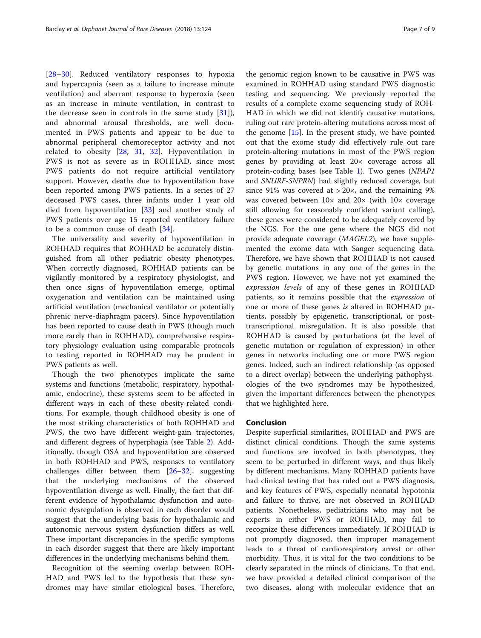[[28](#page-8-0)–[30\]](#page-8-0). Reduced ventilatory responses to hypoxia and hypercapnia (seen as a failure to increase minute ventilation) and aberrant response to hyperoxia (seen as an increase in minute ventilation, in contrast to the decrease seen in controls in the same study  $[31]$  $[31]$ ), and abnormal arousal thresholds, are well documented in PWS patients and appear to be due to abnormal peripheral chemoreceptor activity and not related to obesity [\[28](#page-8-0), [31,](#page-8-0) [32\]](#page-8-0). Hypoventilation in PWS is not as severe as in ROHHAD, since most PWS patients do not require artificial ventilatory support. However, deaths due to hypoventilation have been reported among PWS patients. In a series of 27 deceased PWS cases, three infants under 1 year old died from hypoventilation [\[33](#page-8-0)] and another study of PWS patients over age 15 reported ventilatory failure to be a common cause of death [[34\]](#page-8-0).

The universality and severity of hypoventilation in ROHHAD requires that ROHHAD be accurately distinguished from all other pediatric obesity phenotypes. When correctly diagnosed, ROHHAD patients can be vigilantly monitored by a respiratory physiologist, and then once signs of hypoventilation emerge, optimal oxygenation and ventilation can be maintained using artificial ventilation (mechanical ventilator or potentially phrenic nerve-diaphragm pacers). Since hypoventilation has been reported to cause death in PWS (though much more rarely than in ROHHAD), comprehensive respiratory physiology evaluation using comparable protocols to testing reported in ROHHAD may be prudent in PWS patients as well.

Though the two phenotypes implicate the same systems and functions (metabolic, respiratory, hypothalamic, endocrine), these systems seem to be affected in different ways in each of these obesity-related conditions. For example, though childhood obesity is one of the most striking characteristics of both ROHHAD and PWS, the two have different weight-gain trajectories, and different degrees of hyperphagia (see Table [2\)](#page-3-0). Additionally, though OSA and hypoventilation are observed in both ROHHAD and PWS, responses to ventilatory challenges differ between them [\[26](#page-8-0)–[32\]](#page-8-0), suggesting that the underlying mechanisms of the observed hypoventilation diverge as well. Finally, the fact that different evidence of hypothalamic dysfunction and autonomic dysregulation is observed in each disorder would suggest that the underlying basis for hypothalamic and autonomic nervous system dysfunction differs as well. These important discrepancies in the specific symptoms in each disorder suggest that there are likely important differences in the underlying mechanisms behind them.

Recognition of the seeming overlap between ROH-HAD and PWS led to the hypothesis that these syndromes may have similar etiological bases. Therefore, the genomic region known to be causative in PWS was examined in ROHHAD using standard PWS diagnostic testing and sequencing. We previously reported the results of a complete exome sequencing study of ROH-HAD in which we did not identify causative mutations, ruling out rare protein-altering mutations across most of the genome  $[15]$  $[15]$  $[15]$ . In the present study, we have pointed out that the exome study did effectively rule out rare protein-altering mutations in most of the PWS region genes by providing at least 20× coverage across all protein-coding bases (see Table [1](#page-2-0)). Two genes (NPAP1 and SNURF-SNPRN) had slightly reduced coverage, but since 91% was covered at  $>20\times$ , and the remaining 9% was covered between  $10\times$  and  $20\times$  (with  $10\times$  coverage still allowing for reasonably confident variant calling), these genes were considered to be adequately covered by the NGS. For the one gene where the NGS did not provide adequate coverage (MAGEL2), we have supplemented the exome data with Sanger sequencing data. Therefore, we have shown that ROHHAD is not caused by genetic mutations in any one of the genes in the PWS region. However, we have not yet examined the expression levels of any of these genes in ROHHAD patients, so it remains possible that the expression of one or more of these genes is altered in ROHHAD patients, possibly by epigenetic, transcriptional, or posttranscriptional misregulation. It is also possible that ROHHAD is caused by perturbations (at the level of genetic mutation or regulation of expression) in other genes in networks including one or more PWS region genes. Indeed, such an indirect relationship (as opposed to a direct overlap) between the underlying pathophysiologies of the two syndromes may be hypothesized, given the important differences between the phenotypes that we highlighted here.

### Conclusion

Despite superficial similarities, ROHHAD and PWS are distinct clinical conditions. Though the same systems and functions are involved in both phenotypes, they seem to be perturbed in different ways, and thus likely by different mechanisms. Many ROHHAD patients have had clinical testing that has ruled out a PWS diagnosis, and key features of PWS, especially neonatal hypotonia and failure to thrive, are not observed in ROHHAD patients. Nonetheless, pediatricians who may not be experts in either PWS or ROHHAD, may fail to recognize these differences immediately. If ROHHAD is not promptly diagnosed, then improper management leads to a threat of cardiorespiratory arrest or other morbidity. Thus, it is vital for the two conditions to be clearly separated in the minds of clinicians. To that end, we have provided a detailed clinical comparison of the two diseases, along with molecular evidence that an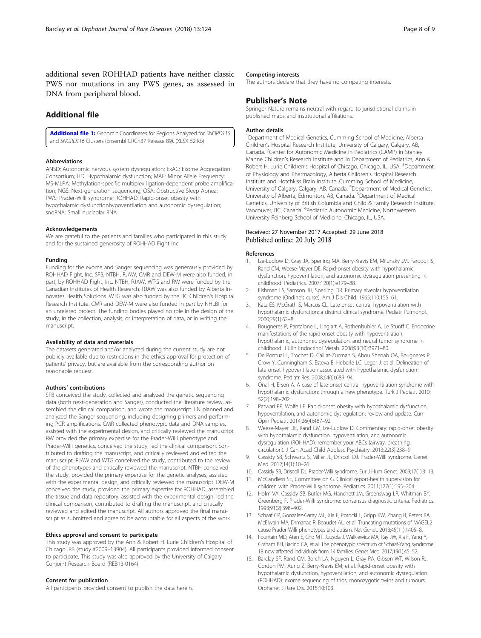<span id="page-7-0"></span>additional seven ROHHAD patients have neither classic PWS nor mutations in any PWS genes, as assessed in DNA from peripheral blood.

# Additional file

[Additional file 1:](https://doi.org/10.1186/s13023-018-0860-0) Genomic Coordinates for Regions Analyzed for SNORD115 and SNORD116 Clusters (Ensembl GRCh37 Release 89). (XLSX 52 kb)

### Abbreviations

ANSD: Autonomic nervous system dysregulation; ExAC: Exome Aggregation Consortium; HD: Hypothalamic dysfunction; MAF: Minor Allele Frequency; MS-MLPA: Methylation-specific multiplex ligation-dependent probe amplification; NGS: Next-generation sequencing; OSA: Obstructive Sleep Apnea; PWS: Prader-Willi syndrome; ROHHAD: Rapid-onset obesity with hypothalamic dysfunctionhypoventilation and autonomic dysregulation; snoRNA: Small nucleolar RNA

#### Acknowledgements

We are grateful to the patients and families who participated in this study and for the sustained generosity of ROHHAD Fight Inc.

#### Funding

Funding for the exome and Sanger sequencing was generously provided by ROHHAD Fight, Inc. SFB, NTBH, RJAW, CMR and DEW-M were also funded, in part, by ROHHAD Fight, Inc. NTBH, RJAW, WTG and RW were funded by the Canadian Institutes of Health Research. RJAW was also funded by Alberta Innovates Health Solutions. WTG was also funded by the BC Children's Hospital Research Institute. CMR and DEW-M were also funded in part by NHLBI for an unrelated project. The funding bodies played no role in the design of the study, in the collection, analysis, or interpretation of data, or in writing the manuscript.

#### Availability of data and materials

The datasets generated and/or analyzed during the current study are not publicly available due to restrictions in the ethics approval for protection of patients' privacy, but are available from the corresponding author on reasonable request.

#### Authors' contributions

SFB conceived the study, collected and analyzed the genetic sequencing data (both next-generation and Sanger), conducted the literature review, assembled the clinical comparison, and wrote the manuscript. LN planned and analyzed the Sanger sequencing, including designing primers and performing PCR amplifications. CMR collected phenotypic data and DNA samples, assisted with the experimental design, and critically reviewed the manuscript. RW provided the primary expertise for the Prader-Willi phenotype and Prader-Willi genetics, conceived the study, led the clinical comparison, contributed to drafting the manuscript, and critically reviewed and edited the manuscript. RJAW and WTG conceived the study, contributed to the review of the phenotypes and critically reviewed the manuscript. NTBH conceived the study, provided the primary expertise for the genetic analyses, assisted with the experimental design, and critically reviewed the manuscript. DEW-M conceived the study, provided the primary expertise for ROHHAD, assembled the tissue and data repository, assisted with the experimental design, led the clinical comparison, contributed to drafting the manuscript, and critically reviewed and edited the manuscript. All authors approved the final manuscript as submitted and agree to be accountable for all aspects of the work.

#### Ethics approval and consent to participate

This study was approved by the Ann & Robert H. Lurie Children's Hospital of Chicago IRB (study #2009–13904). All participants provided informed consent to participate. This study was also approved by the University of Calgary Conjoint Research Board (REB13-0164).

#### Consent for publication

All participants provided consent to publish the data herein.

#### Competing interests

The authors declare that they have no competing interests.

## Publisher's Note

Springer Nature remains neutral with regard to jurisdictional claims in published maps and institutional affiliations.

#### Author details

<sup>1</sup>Department of Medical Genetics, Cumming School of Medicine, Alberta Children's Hospital Research Institute, University of Calgary, Calgary, AB, Canada. <sup>2</sup> Center for Autonomic Medicine in Pediatrics (CAMP) in Stanley Manne Children's Research Institute and in Department of Pediatrics, Ann & Robert H. Lurie Children's Hospital of Chicago, Chicago, IL, USA. <sup>3</sup>Department of Physiology and Pharmacology, Alberta Children's Hospital Research Institute and Hotchkiss Brain Institute, Cumming School of Medicine, University of Calgary, Calgary, AB, Canada. <sup>4</sup>Department of Medical Genetics University of Alberta, Edmonton, AB, Canada. <sup>5</sup>Department of Medical Genetics, University of British Columbia and Child & Family Research Institute, Vancouver, BC, Canada. <sup>6</sup>Pediatric Autonomic Medicine, Northwestern University Feinberg School of Medicine, Chicago, IL, USA.

## Received: 27 November 2017 Accepted: 29 June 2018 Published online: 20 July 2018

#### References

- Ize-Ludlow D, Gray JA, Sperling MA, Berry-Kravis EM, Milunsky JM, Faroogi IS, Rand CM, Weese-Mayer DE. Rapid-onset obesity with hypothalamic dysfunction, hypoventilation, and autonomic dysregulation presenting in childhood. Pediatrics. 2007;120(1):e179–88.
- 2. Fishman LS, Samson JH, Sperling DR. Primary alveolar hypoventilation syndrome (Ondine's curse). Am J Dis Child. 1965;110:155–61.
- 3. Katz ES, McGrath S, Marcus CL. Late-onset central hypoventilation with hypothalamic dysfunction: a distinct clinical syndrome. Pediatr Pulmonol. 2000;29(1):62–8.
- 4. Bougneres P, Pantalone L, Linglart A, Rothenbuhler A, Le Stunff C. Endocrine manifestations of the rapid-onset obesity with hypoventilation, hypothalamic, autonomic dysregulation, and neural tumor syndrome in childhood. J Clin Endocrinol Metab. 2008;93(10):3971–80.
- 5. De Pontual L, Trochet D, Caillat-Zucman S, Abou Shenab OA, Bougneres P, Crow Y, Cunningham S, Esteva B, Heberle LC, Leger J, et al. Delineation of late onset hypoventilation associated with hypothalamic dysfunction syndrome. Pediatr Res. 2008;64(6):689–94.
- 6. Onal H, Ersen A. A case of late-onset central hypoventilation syndrome with hypothalamic dysfunction: through a new phenotype. Turk J Pediatr. 2010; 52(2):198–202.
- 7. Patwari PP, Wolfe LF. Rapid-onset obesity with hypothalamic dysfunction, hypoventilation, and autonomic dysregulation: review and update. Curr Opin Pediatr. 2014;26(4):487–92.
- 8. Weese-Mayer DE, Rand CM, Ize-Ludlow D. Commentary: rapid-onset obesity with hypothalamic dysfunction, hypoventilation, and autonomic dysregulation (ROHHAD): remember your ABCs (airway, breathing, circulation). J Can Acad Child Adolesc Psychiatry. 2013;22(3):238–9.
- 9. Cassidy SB, Schwartz S, Miller JL, Driscoll DJ. Prader-Willi syndrome. Genet Med. 2012;14(1):10–26.
- 10. Cassidy SB, Driscoll DJ. Prader-Willi syndrome. Eur J Hum Genet. 2009;17(1):3–13.
- 11. McCandless SE, Committee on G. Clinical report-health supervision for children with Prader-Willi syndrome. Pediatrics. 2011;127(1):195–204.
- 12. Holm VA, Cassidy SB, Butler MG, Hanchett JM, Greenswag LR, Whitman BY, Greenberg F. Prader-Willi syndrome: consensus diagnostic criteria. Pediatrics. 1993;91(2):398–402.
- 13. Schaaf CP, Gonzalez-Garay ML, Xia F, Potocki L, Gripp KW, Zhang B, Peters BA, McElwain MA, Drmanac R, Beaudet AL, et al. Truncating mutations of MAGEL2 cause Prader-Willi phenotypes and autism. Nat Genet. 2013;45(11):1405–8.
- 14. Fountain MD, Aten E, Cho MT, Juusola J, Walkiewicz MA, Ray JW, Xia F, Yang Y, Graham BH, Bacino CA, et al. The phenotypic spectrum of Schaaf-Yang syndrome: 18 new affected individuals from 14 families. Genet Med. 2017;19(1):45–52.
- 15. Barclay SF, Rand CM, Borch LA, Nguyen L, Gray PA, Gibson WT, Wilson RJ, Gordon PM, Aung Z, Berry-Kravis EM, et al. Rapid-onset obesity with hypothalamic dysfunction, hypoventilation, and autonomic dysregulation (ROHHAD): exome sequencing of trios, monozygotic twins and tumours. Orphanet J Rare Dis. 2015;10:103.